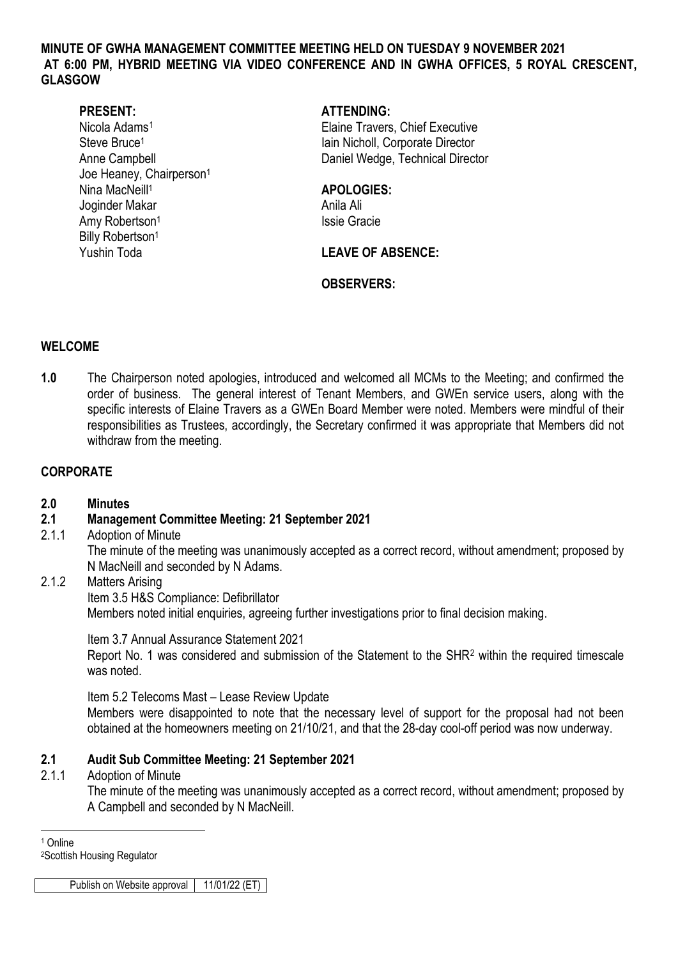### **MINUTE OF GWHA MANAGEMENT COMMITTEE MEETING HELD ON TUESDAY 9 NOVEMBER 2021 AT 6:00 PM, HYBRID MEETING VIA VIDEO CONFERENCE AND IN GWHA OFFICES, 5 ROYAL CRESCENT, GLASGOW**

Joe Heaney, Chairperson<sup>1</sup> Nina MacNeill<sup>1</sup> **APOLOGIES:** Joginder Makar Anila Ali Amy Robertson<sup>1</sup> and Essays and Issie Gracie Billy Robertson<sup>1</sup> Yushin Toda **LEAVE OF ABSENCE:** 

# **PRESENT: ATTENDING:**

Nicola Adams<sup>[1](#page-0-0)</sup> Elaine Travers, Chief Executive Steve Bruce<sup>1</sup> and Steve Bruce<sup>1</sup> Iain Nicholl, Corporate Director Anne Campbell **Daniel Wedge, Technical Director** 

## **OBSERVERS:**

## **WELCOME**

**1.0** The Chairperson noted apologies, introduced and welcomed all MCMs to the Meeting; and confirmed the order of business. The general interest of Tenant Members, and GWEn service users, along with the specific interests of Elaine Travers as a GWEn Board Member were noted. Members were mindful of their responsibilities as Trustees, accordingly, the Secretary confirmed it was appropriate that Members did not withdraw from the meeting.

# **CORPORATE**

### **2.0 Minutes**

## **2.1 Management Committee Meeting: 21 September 2021**

2.1.1 Adoption of Minute

The minute of the meeting was unanimously accepted as a correct record, without amendment; proposed by N MacNeill and seconded by N Adams.

# 2.1.2 Matters Arising

Item 3.5 H&S Compliance: Defibrillator Members noted initial enquiries, agreeing further investigations prior to final decision making.

### Item 3.7 Annual Assurance Statement 2021

Report No. 1 was considered and submission of the Statement to the SHR[2](#page-0-1) within the required timescale was noted.

Item 5.2 Telecoms Mast – Lease Review Update

Members were disappointed to note that the necessary level of support for the proposal had not been obtained at the homeowners meeting on 21/10/21, and that the 28-day cool-off period was now underway.

## **2.1 Audit Sub Committee Meeting: 21 September 2021**

### 2.1.1 Adoption of Minute

The minute of the meeting was unanimously accepted as a correct record, without amendment; proposed by A Campbell and seconded by N MacNeill.

-<sup>1</sup> Online

<span id="page-0-1"></span><span id="page-0-0"></span>2Scottish Housing Regulator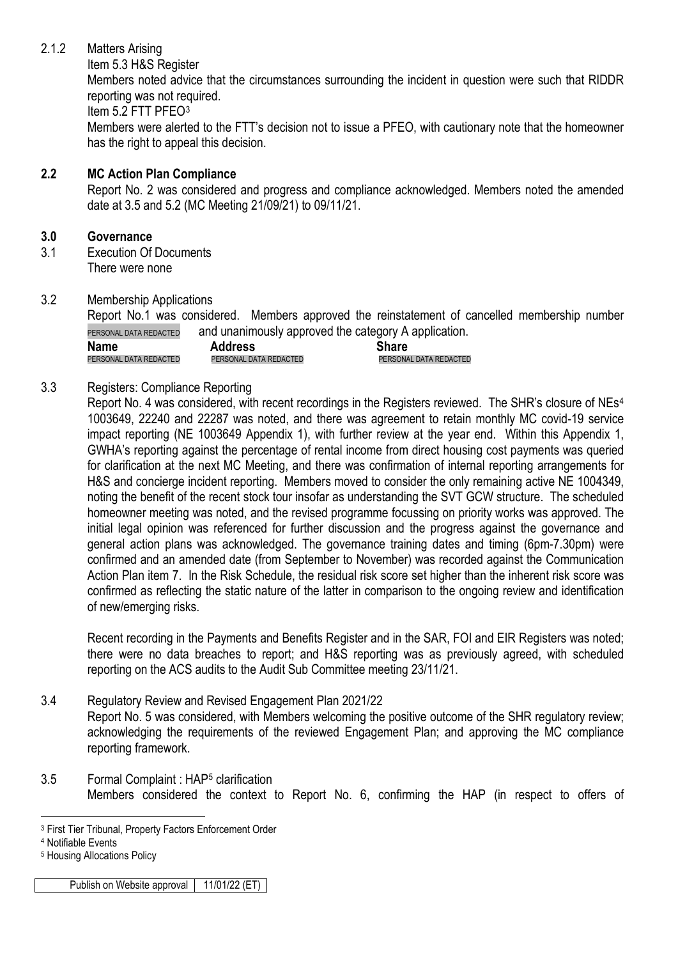# 2.1.2 Matters Arising

Item 5.3 H&S Register

Members noted advice that the circumstances surrounding the incident in question were such that RIDDR reporting was not required.

Item 5.2 FTT PFEO[3](#page-1-0)

Members were alerted to the FTT's decision not to issue a PFEO, with cautionary note that the homeowner has the right to appeal this decision.

# **2.2 MC Action Plan Compliance**

Report No. 2 was considered and progress and compliance acknowledged. Members noted the amended date at 3.5 and 5.2 (MC Meeting 21/09/21) to 09/11/21.

# **3.0 Governance**

- 3.1 Execution Of Documents There were none
- 3.2 Membership Applications

Report No.1 was considered. Members approved the reinstatement of cancelled membership number PERSONAL DATA REDACTED and unanimously approved the category A application.

| <b>Name</b>            | .<br><b>Address</b>    | . .<br><b>Share</b>    |
|------------------------|------------------------|------------------------|
| PERSONAL DATA REDACTED | PERSONAL DATA REDACTED | PERSONAL DATA REDACTED |

# 3.3 Registers: Compliance Reporting

Report No. [4](#page-1-1) was considered, with recent recordings in the Registers reviewed. The SHR's closure of NEs<sup>4</sup> 1003649, 22240 and 22287 was noted, and there was agreement to retain monthly MC covid-19 service impact reporting (NE 1003649 Appendix 1), with further review at the year end. Within this Appendix 1, GWHA's reporting against the percentage of rental income from direct housing cost payments was queried for clarification at the next MC Meeting, and there was confirmation of internal reporting arrangements for H&S and concierge incident reporting. Members moved to consider the only remaining active NE 1004349, noting the benefit of the recent stock tour insofar as understanding the SVT GCW structure. The scheduled homeowner meeting was noted, and the revised programme focussing on priority works was approved. The initial legal opinion was referenced for further discussion and the progress against the governance and general action plans was acknowledged. The governance training dates and timing (6pm-7.30pm) were confirmed and an amended date (from September to November) was recorded against the Communication Action Plan item 7. In the Risk Schedule, the residual risk score set higher than the inherent risk score was confirmed as reflecting the static nature of the latter in comparison to the ongoing review and identification of new/emerging risks.

Recent recording in the Payments and Benefits Register and in the SAR, FOI and EIR Registers was noted; there were no data breaches to report; and H&S reporting was as previously agreed, with scheduled reporting on the ACS audits to the Audit Sub Committee meeting 23/11/21.

# 3.4 Regulatory Review and Revised Engagement Plan 2021/22

Report No. 5 was considered, with Members welcoming the positive outcome of the SHR regulatory review; acknowledging the requirements of the reviewed Engagement Plan; and approving the MC compliance reporting framework.

3.5 Formal Complaint : HAP[5](#page-1-2) clarification Members considered the context to Report No. 6, confirming the HAP (in respect to offers of

<sup>-</sup><sup>3</sup> First Tier Tribunal, Property Factors Enforcement Order

<span id="page-1-1"></span><span id="page-1-0"></span><sup>4</sup> Notifiable Events

<span id="page-1-2"></span><sup>5</sup> Housing Allocations Policy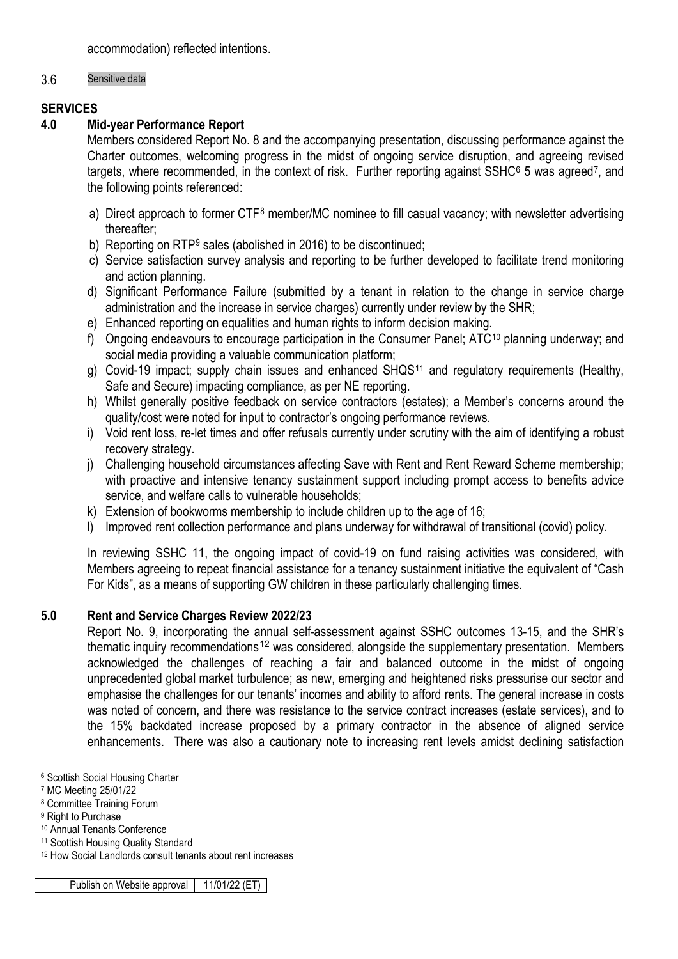accommodation) reflected intentions.

## 3.6 Sensitive data

# **SERVICES**

# **4.0 Mid-year Performance Report**

Members considered Report No. 8 and the accompanying presentation, discussing performance against the Charter outcomes, welcoming progress in the midst of ongoing service disruption, and agreeing revised targets, where recommended, in the context of risk. Further reporting against SSHC<sup>[6](#page-2-0)</sup> 5 was agreed<sup>[7](#page-2-1)</sup>, and the following points referenced:

- a) Direct approach to former CTF<sup>[8](#page-2-2)</sup> member/MC nominee to fill casual vacancy; with newsletter advertising thereafter;
- b) Reporting on RTP<sup>[9](#page-2-3)</sup> sales (abolished in 2016) to be discontinued;
- c) Service satisfaction survey analysis and reporting to be further developed to facilitate trend monitoring and action planning.
- d) Significant Performance Failure (submitted by a tenant in relation to the change in service charge administration and the increase in service charges) currently under review by the SHR;
- e) Enhanced reporting on equalities and human rights to inform decision making.
- f) Ongoing endeavours to encourage participation in the Consumer Panel; ATC<sup>[10](#page-2-4)</sup> planning underway; and social media providing a valuable communication platform;
- g) Covid-19 impact; supply chain issues and enhanced SHQS<sup>[11](#page-2-5)</sup> and regulatory requirements (Healthy, Safe and Secure) impacting compliance, as per NE reporting.
- h) Whilst generally positive feedback on service contractors (estates); a Member's concerns around the quality/cost were noted for input to contractor's ongoing performance reviews.
- i) Void rent loss, re-let times and offer refusals currently under scrutiny with the aim of identifying a robust recovery strategy.
- j) Challenging household circumstances affecting Save with Rent and Rent Reward Scheme membership; with proactive and intensive tenancy sustainment support including prompt access to benefits advice service, and welfare calls to vulnerable households;
- k) Extension of bookworms membership to include children up to the age of 16;
- l) Improved rent collection performance and plans underway for withdrawal of transitional (covid) policy.

In reviewing SSHC 11, the ongoing impact of covid-19 on fund raising activities was considered, with Members agreeing to repeat financial assistance for a tenancy sustainment initiative the equivalent of "Cash For Kids", as a means of supporting GW children in these particularly challenging times.

## **5.0 Rent and Service Charges Review 2022/23**

Report No. 9, incorporating the annual self-assessment against SSHC outcomes 13-15, and the SHR's thematic inquiry recommendations<sup>[12](#page-2-6)</sup> was considered, alongside the supplementary presentation. Members acknowledged the challenges of reaching a fair and balanced outcome in the midst of ongoing unprecedented global market turbulence; as new, emerging and heightened risks pressurise our sector and emphasise the challenges for our tenants' incomes and ability to afford rents. The general increase in costs was noted of concern, and there was resistance to the service contract increases (estate services), and to the 15% backdated increase proposed by a primary contractor in the absence of aligned service enhancements. There was also a cautionary note to increasing rent levels amidst declining satisfaction

-

<span id="page-2-0"></span><sup>6</sup> Scottish Social Housing Charter

<span id="page-2-1"></span><sup>7</sup> MC Meeting 25/01/22

<span id="page-2-2"></span><sup>8</sup> Committee Training Forum

<span id="page-2-3"></span><sup>&</sup>lt;sup>9</sup> Right to Purchase

<span id="page-2-4"></span><sup>10</sup> Annual Tenants Conference

<span id="page-2-5"></span><sup>&</sup>lt;sup>11</sup> Scottish Housing Quality Standard

<span id="page-2-6"></span><sup>12</sup> How Social Landlords consult tenants about rent increases